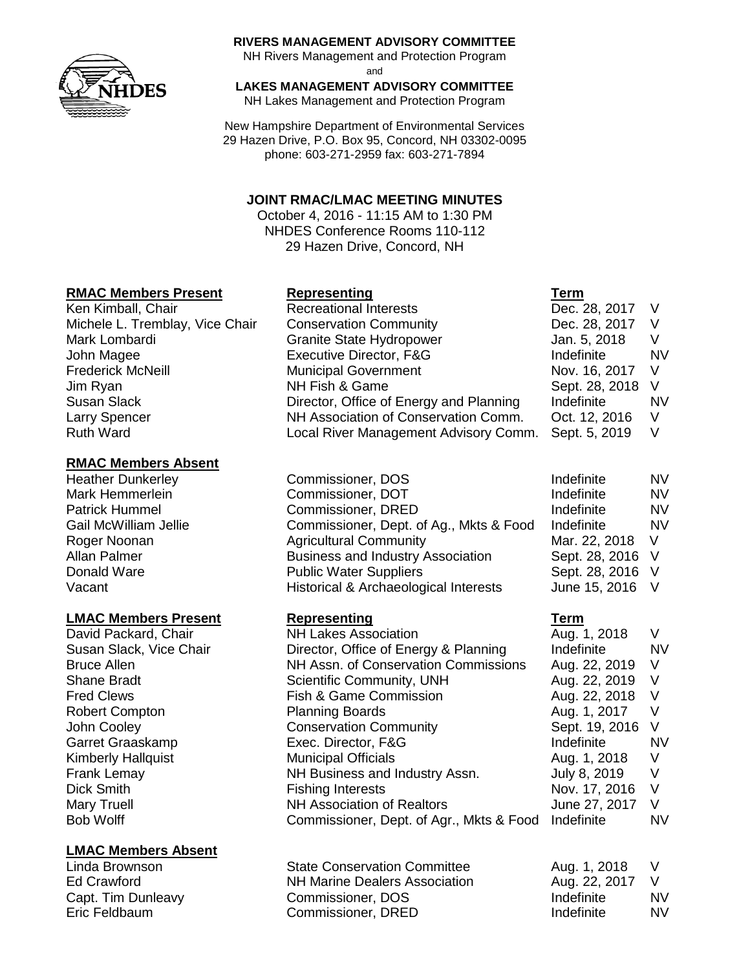

#### **RIVERS MANAGEMENT ADVISORY COMMITTEE**

NH Rivers Management and Protection Program

and

# **LAKES MANAGEMENT ADVISORY COMMITTEE**

NH Lakes Management and Protection Program

New Hampshire Department of Environmental Services 29 Hazen Drive, P.O. Box 95, Concord, NH 03302-0095 phone: 603-271-2959 fax: 603-271-7894

## **JOINT RMAC/LMAC MEETING MINUTES**

October 4, 2016 - 11:15 AM to 1:30 PM NHDES Conference Rooms 110-112 29 Hazen Drive, Concord, NH

## **RMAC Members Present Representing Term**

## **RMAC Members Absent**

Heather Dunkerley Commissioner, DOS Mark Hemmerlein **Commissioner, DOT** 

## **LMAC Members Present Representing Term**

David Packard, Chair NH Lakes Association Robert Compton **Planning Boards** Garret Graaskamp Exec. Director, F&G Kimberly Hallquist Municipal Officials Dick Smith **Fishing Interests** 

## **LMAC Members Absent**

- Ken Kimball, Chair **Recreational Interests Dec. 28, 2017** V Michele L. Tremblay, Vice Chair Conservation Community Theory Dec. 28, 2017 V Mark Lombardi **Granite State Hydropower** Jan. 5, 2018 V John Magee The Teach Contract Executive Director, F&G The Indefinite The NV Frederick McNeill **Municipal Government** Nov. 16, 2017 V Jim Ryan NH Fish & Game Sept. 28, 2018 V Susan Slack **Director, Office of Energy and Planning** Indefinite NV Larry Spencer **NH Association of Conservation Comm.** Oct. 12, 2016 V Ruth Ward Local River Management Advisory Comm. Sept. 5, 2019 V
- Patrick Hummel **Commissioner**, DRED Gail McWilliam Jellie Commissioner, Dept. of Ag., Mkts & Food Roger Noonan **Agricultural Community** Mar. 2018 Mar. 22, 2018 Mar. 22, 2018 Mar. 22, 2018 Mar. 22, 2018 Mar. 22, 2018 V Allan Palmer **Business and Industry Association** Donald Ware **Public Water Suppliers** Vacant Vacant Historical & Archaeological Interests

Susan Slack, Vice Chair Director, Office of Energy & Planning Bruce Allen **NH Assn.** of Conservation Commissions Shane Bradt Scientific Community, UNH Fred Clews **Fish & Game Commission** John Cooley **Conservation Community** Frank Lemay **NH Business and Industry Assn.** Mary Truell **NH** Association of Realtors Bob Wolff **Commissioner, Dept. of Agr., Mkts & Food** Indefinite Number

| <b>State Conservation Committee</b>  | Aug. 1, 2018    |           |
|--------------------------------------|-----------------|-----------|
| <b>NH Marine Dealers Association</b> | Aug. 22, 2017 V |           |
| Commissioner, DOS                    | Indefinite      | <b>NV</b> |
| Commissioner, DRED                   | Indefinite      | <b>NV</b> |
|                                      |                 |           |

|                | NV |
|----------------|----|
| Indefinite     |    |
| Indefinite     | NV |
| Indefinite     | NV |
| Indefinite     | NV |
| Mar. 22, 2018  | V  |
| Sept. 28, 2016 | V  |
| Sept. 28, 2016 | V  |
| June 15, 2016  | V  |

| Aug. 1, 2018   | V   |
|----------------|-----|
| Indefinite     | NV  |
| Aug. 22, 2019  | V   |
| Aug. 22, 2019  | V   |
| Aug. 22, 2018  | V   |
| Aug. 1, 2017   | V   |
| Sept. 19, 2016 | V   |
| Indefinite     | NV  |
| Aug. 1, 2018   | V   |
| July 8, 2019   | V   |
| Nov. 17, 2016  | V   |
| June 27, 2017  | V   |
| Indefinite     | NV. |
|                |     |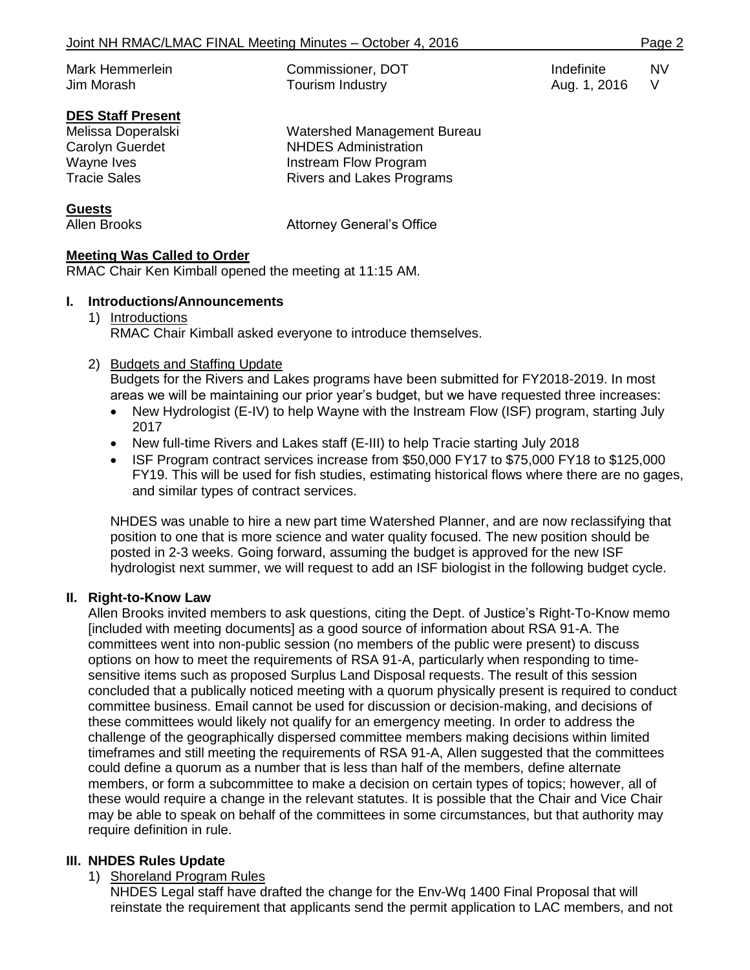| Mark Hemmerlein | Commissioner, DOT | Indefinite   | NV. |
|-----------------|-------------------|--------------|-----|
| Jim Morash      | Tourism Industry  | Aug. 1, 2016 |     |
|                 |                   |              |     |

# **DES Staff Present**

| Melissa Doperalski<br>Carolyn Guerdet | Watershed Management Bureau<br><b>NHDES Administration</b> |
|---------------------------------------|------------------------------------------------------------|
| Wayne Ives                            | Instream Flow Program                                      |
| <b>Tracie Sales</b>                   | <b>Rivers and Lakes Programs</b>                           |
| $\mathbf{a}$                          |                                                            |

**Guests**

Allen Brooks **Attorney General's Office** 

## **Meeting Was Called to Order**

RMAC Chair Ken Kimball opened the meeting at 11:15 AM.

## **I. Introductions/Announcements**

#### 1) Introductions RMAC Chair Kimball asked everyone to introduce themselves.

## 2) Budgets and Staffing Update

Budgets for the Rivers and Lakes programs have been submitted for FY2018-2019. In most areas we will be maintaining our prior year's budget, but we have requested three increases:

- New Hydrologist (E-IV) to help Wayne with the Instream Flow (ISF) program, starting July 2017
- New full-time Rivers and Lakes staff (E-III) to help Tracie starting July 2018
- ISF Program contract services increase from \$50,000 FY17 to \$75,000 FY18 to \$125,000 FY19. This will be used for fish studies, estimating historical flows where there are no gages, and similar types of contract services.

NHDES was unable to hire a new part time Watershed Planner, and are now reclassifying that position to one that is more science and water quality focused. The new position should be posted in 2-3 weeks. Going forward, assuming the budget is approved for the new ISF hydrologist next summer, we will request to add an ISF biologist in the following budget cycle.

## **II. Right-to-Know Law**

Allen Brooks invited members to ask questions, citing the Dept. of Justice's Right-To-Know memo [included with meeting documents] as a good source of information about RSA 91-A. The committees went into non-public session (no members of the public were present) to discuss options on how to meet the requirements of RSA 91-A, particularly when responding to timesensitive items such as proposed Surplus Land Disposal requests. The result of this session concluded that a publically noticed meeting with a quorum physically present is required to conduct committee business. Email cannot be used for discussion or decision-making, and decisions of these committees would likely not qualify for an emergency meeting. In order to address the challenge of the geographically dispersed committee members making decisions within limited timeframes and still meeting the requirements of RSA 91-A, Allen suggested that the committees could define a quorum as a number that is less than half of the members, define alternate members, or form a subcommittee to make a decision on certain types of topics; however, all of these would require a change in the relevant statutes. It is possible that the Chair and Vice Chair may be able to speak on behalf of the committees in some circumstances, but that authority may require definition in rule.

## **III. NHDES Rules Update**

# 1) Shoreland Program Rules

NHDES Legal staff have drafted the change for the Env-Wq 1400 Final Proposal that will reinstate the requirement that applicants send the permit application to LAC members, and not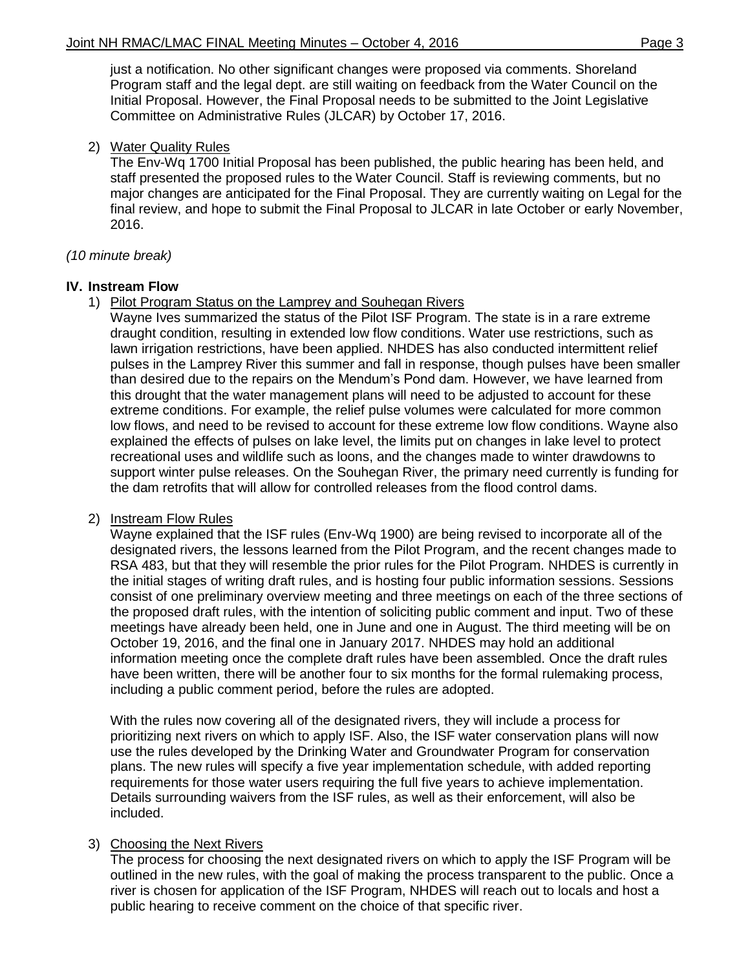just a notification. No other significant changes were proposed via comments. Shoreland Program staff and the legal dept. are still waiting on feedback from the Water Council on the Initial Proposal. However, the Final Proposal needs to be submitted to the Joint Legislative Committee on Administrative Rules (JLCAR) by October 17, 2016.

#### 2) Water Quality Rules

The Env-Wq 1700 Initial Proposal has been published, the public hearing has been held, and staff presented the proposed rules to the Water Council. Staff is reviewing comments, but no major changes are anticipated for the Final Proposal. They are currently waiting on Legal for the final review, and hope to submit the Final Proposal to JLCAR in late October or early November, 2016.

#### *(10 minute break)*

#### **IV. Instream Flow**

1) Pilot Program Status on the Lamprey and Souhegan Rivers

Wayne Ives summarized the status of the Pilot ISF Program. The state is in a rare extreme draught condition, resulting in extended low flow conditions. Water use restrictions, such as lawn irrigation restrictions, have been applied. NHDES has also conducted intermittent relief pulses in the Lamprey River this summer and fall in response, though pulses have been smaller than desired due to the repairs on the Mendum's Pond dam. However, we have learned from this drought that the water management plans will need to be adjusted to account for these extreme conditions. For example, the relief pulse volumes were calculated for more common low flows, and need to be revised to account for these extreme low flow conditions. Wayne also explained the effects of pulses on lake level, the limits put on changes in lake level to protect recreational uses and wildlife such as loons, and the changes made to winter drawdowns to support winter pulse releases. On the Souhegan River, the primary need currently is funding for the dam retrofits that will allow for controlled releases from the flood control dams.

#### 2) Instream Flow Rules

Wayne explained that the ISF rules (Env-Wq 1900) are being revised to incorporate all of the designated rivers, the lessons learned from the Pilot Program, and the recent changes made to RSA 483, but that they will resemble the prior rules for the Pilot Program. NHDES is currently in the initial stages of writing draft rules, and is hosting four public information sessions. Sessions consist of one preliminary overview meeting and three meetings on each of the three sections of the proposed draft rules, with the intention of soliciting public comment and input. Two of these meetings have already been held, one in June and one in August. The third meeting will be on October 19, 2016, and the final one in January 2017. NHDES may hold an additional information meeting once the complete draft rules have been assembled. Once the draft rules have been written, there will be another four to six months for the formal rulemaking process, including a public comment period, before the rules are adopted.

With the rules now covering all of the designated rivers, they will include a process for prioritizing next rivers on which to apply ISF. Also, the ISF water conservation plans will now use the rules developed by the Drinking Water and Groundwater Program for conservation plans. The new rules will specify a five year implementation schedule, with added reporting requirements for those water users requiring the full five years to achieve implementation. Details surrounding waivers from the ISF rules, as well as their enforcement, will also be included.

## 3) Choosing the Next Rivers

The process for choosing the next designated rivers on which to apply the ISF Program will be outlined in the new rules, with the goal of making the process transparent to the public. Once a river is chosen for application of the ISF Program, NHDES will reach out to locals and host a public hearing to receive comment on the choice of that specific river.